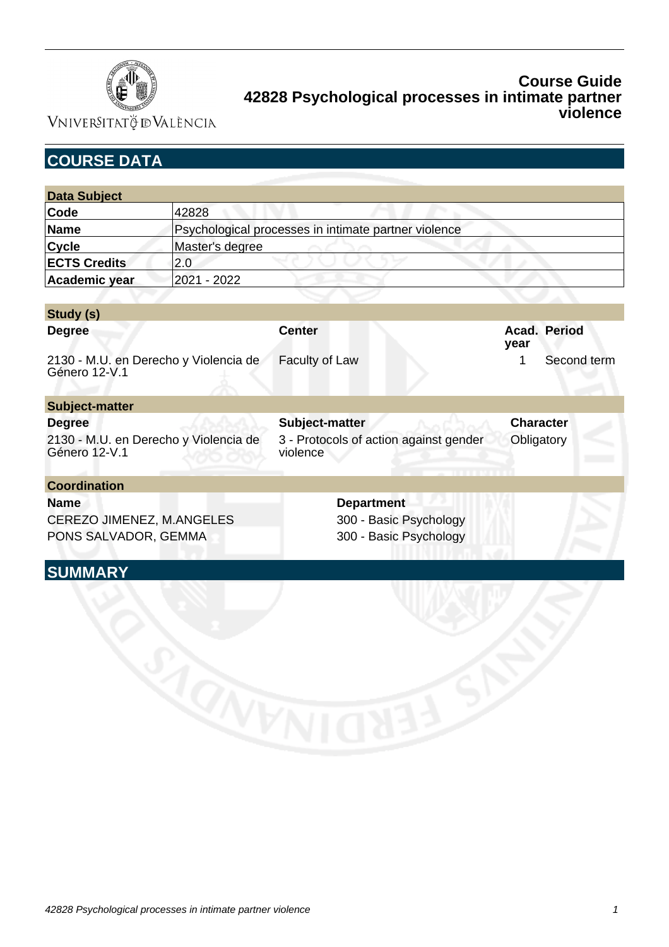

Vniver§itatğ dValència

| <b>COURSE DATA</b>                                     |                                                      |                                                    |                      |
|--------------------------------------------------------|------------------------------------------------------|----------------------------------------------------|----------------------|
|                                                        |                                                      |                                                    |                      |
| <b>Data Subject</b>                                    |                                                      |                                                    |                      |
| Code                                                   | 42828                                                |                                                    |                      |
| <b>Name</b>                                            | Psychological processes in intimate partner violence |                                                    |                      |
| <b>Cycle</b>                                           | Master's degree                                      |                                                    |                      |
| <b>ECTS Credits</b>                                    | 2.0                                                  |                                                    |                      |
| Academic year                                          | 2021 - 2022                                          |                                                    |                      |
|                                                        |                                                      |                                                    |                      |
| Study (s)                                              |                                                      |                                                    |                      |
| <b>Degree</b>                                          |                                                      | <b>Center</b>                                      | Acad. Period<br>year |
| 2130 - M.U. en Derecho y Violencia de<br>Género 12-V.1 |                                                      | Faculty of Law                                     | Second term<br>1     |
| <b>Subject-matter</b>                                  |                                                      |                                                    |                      |
| <b>Degree</b>                                          |                                                      | Subject-matter                                     | <b>Character</b>     |
| 2130 - M.U. en Derecho y Violencia de<br>Género 12-V.1 |                                                      | 3 - Protocols of action against gender<br>violence | Obligatory           |
| <b>Coordination</b>                                    |                                                      |                                                    |                      |
| <b>Name</b>                                            |                                                      | <b>Department</b>                                  |                      |
| CEREZO JIMENEZ, M.ANGELES                              |                                                      | 300 - Basic Psychology                             |                      |
| PONS SALVADOR, GEMMA                                   |                                                      | 300 - Basic Psychology                             |                      |
| <b>SUMMARY</b>                                         |                                                      |                                                    |                      |
|                                                        |                                                      |                                                    |                      |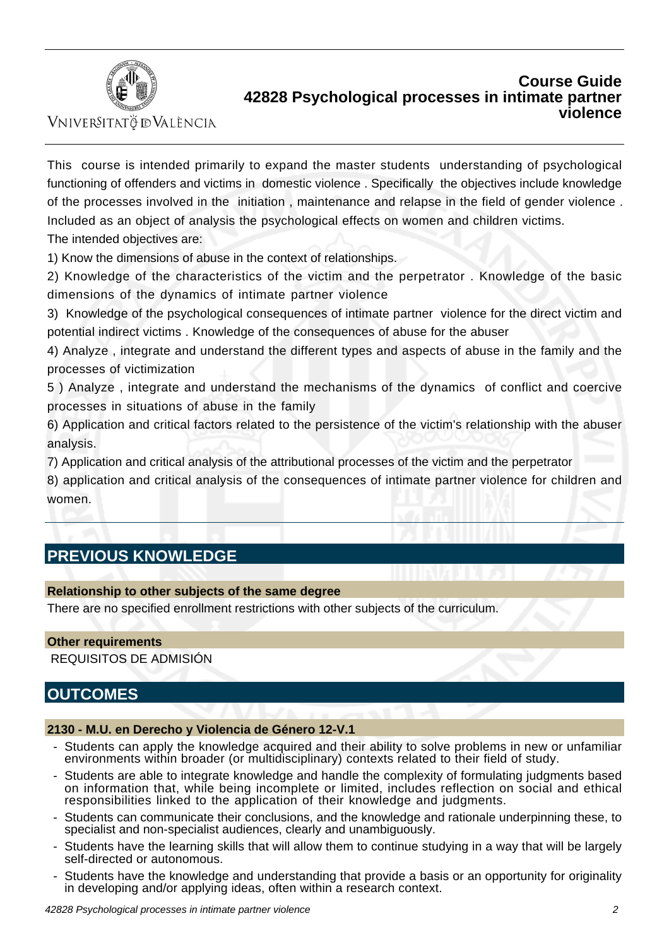

VNIVERSITATÖ ID VALÈNCIA

This course is intended primarily to expand the master students understanding of psychological functioning of offenders and victims in domestic violence . Specifically the objectives include knowledge of the processes involved in the initiation , maintenance and relapse in the field of gender violence . Included as an object of analysis the psychological effects on women and children victims.

The intended objectives are:

1) Know the dimensions of abuse in the context of relationships.

2) Knowledge of the characteristics of the victim and the perpetrator . Knowledge of the basic dimensions of the dynamics of intimate partner violence

3) Knowledge of the psychological consequences of intimate partner violence for the direct victim and potential indirect victims . Knowledge of the consequences of abuse for the abuser

4) Analyze , integrate and understand the different types and aspects of abuse in the family and the processes of victimization

5 ) Analyze , integrate and understand the mechanisms of the dynamics of conflict and coercive processes in situations of abuse in the family

6) Application and critical factors related to the persistence of the victim's relationship with the abuser analysis.

7) Application and critical analysis of the attributional processes of the victim and the perpetrator

8) application and critical analysis of the consequences of intimate partner violence for children and women.

# **PREVIOUS KNOWLEDGE**

### **Relationship to other subjects of the same degree**

There are no specified enrollment restrictions with other subjects of the curriculum.

### **Other requirements**

REQUISITOS DE ADMISIÓN

## **OUTCOMES**

#### **2130 - M.U. en Derecho y Violencia de Género 12-V.1**

- Students can apply the knowledge acquired and their ability to solve problems in new or unfamiliar environments within broader (or multidisciplinary) contexts related to their field of study.
- Students are able to integrate knowledge and handle the complexity of formulating judgments based on information that, while being incomplete or limited, includes reflection on social and ethical responsibilities linked to the application of their knowledge and judgments.
- Students can communicate their conclusions, and the knowledge and rationale underpinning these, to specialist and non-specialist audiences, clearly and unambiguously.
- Students have the learning skills that will allow them to continue studying in a way that will be largely self-directed or autonomous.
- Students have the knowledge and understanding that provide a basis or an opportunity for originality in developing and/or applying ideas, often within a research context.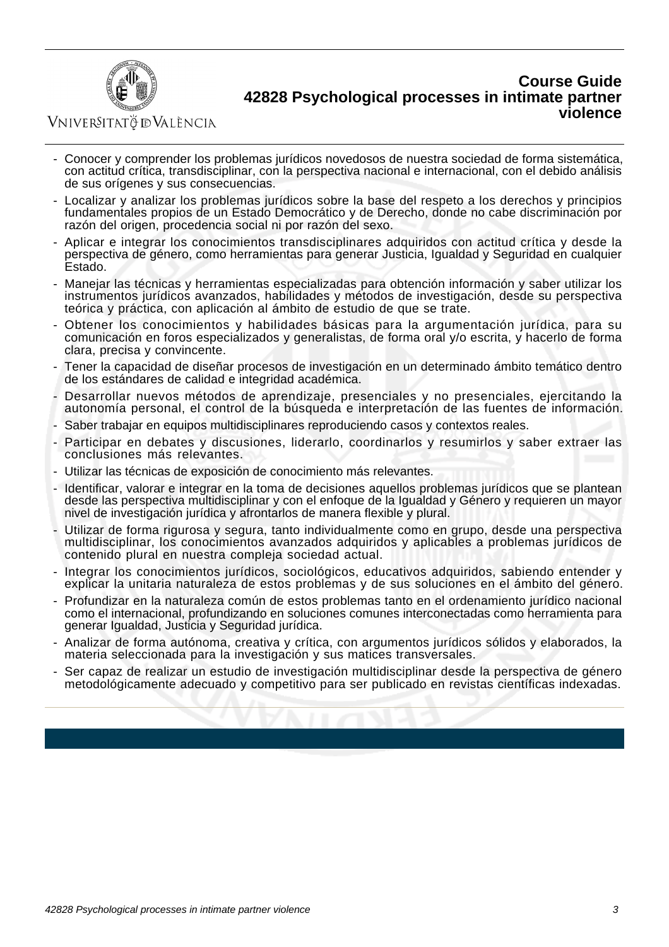

VNIVERSITATÖ IDVALÈNCIA

- Conocer y comprender los problemas jurídicos novedosos de nuestra sociedad de forma sistemática, con actitud crítica, transdisciplinar, con la perspectiva nacional e internacional, con el debido análisis de sus orígenes y sus consecuencias.
- Localizar y analizar los problemas jurídicos sobre la base del respeto a los derechos y principios fundamentales propios de un Estado Democrático y de Derecho, donde no cabe discriminación por razón del origen, procedencia social ni por razón del sexo.
- Aplicar e integrar los conocimientos transdisciplinares adquiridos con actitud crítica y desde la perspectiva de género, como herramientas para generar Justicia, Igualdad y Seguridad en cualquier Estado.
- Manejar las técnicas y herramientas especializadas para obtención información y saber utilizar los instrumentos jurídicos avanzados, habilidades y métodos de investigación, desde su perspectiva teórica y práctica, con aplicación al ámbito de estudio de que se trate.
- Obtener los conocimientos y habilidades básicas para la argumentación jurídica, para su comunicación en foros especializados y generalistas, de forma oral y/o escrita, y hacerlo de forma clara, precisa y convincente.
- Tener la capacidad de diseñar procesos de investigación en un determinado ámbito temático dentro de los estándares de calidad e integridad académica.
- Desarrollar nuevos métodos de aprendizaje, presenciales y no presenciales, ejercitando la autonomía personal, el control de la búsqueda e interpretación de las fuentes de información.
- Saber trabajar en equipos multidisciplinares reproduciendo casos y contextos reales.
- Participar en debates y discusiones, liderarlo, coordinarlos y resumirlos y saber extraer las conclusiones más relevantes.
- Utilizar las técnicas de exposición de conocimiento más relevantes.
- Identificar, valorar e integrar en la toma de decisiones aquellos problemas jurídicos que se plantean desde las perspectiva multidisciplinar y con el enfoque de la Igualdad y Género y requieren un mayor nivel de investigación jurídica y afrontarlos de manera flexible y plural.
- Utilizar de forma rigurosa y segura, tanto individualmente como en grupo, desde una perspectiva multidisciplinar, los conocimientos avanzados adquiridos y aplicables a problemas jurídicos de contenido plural en nuestra compleja sociedad actual.
- Integrar los conocimientos jurídicos, sociológicos, educativos adquiridos, sabiendo entender y explicar la unitaria naturaleza de estos problemas y de sus soluciones en el ámbito del género.
- Profundizar en la naturaleza común de estos problemas tanto en el ordenamiento jurídico nacional como el internacional, profundizando en soluciones comunes interconectadas como herramienta para generar Igualdad, Justicia y Seguridad jurídica.
- Analizar de forma autónoma, creativa y crítica, con argumentos jurídicos sólidos y elaborados, la materia seleccionada para la investigación y sus matices transversales.
- Ser capaz de realizar un estudio de investigación multidisciplinar desde la perspectiva de género metodológicamente adecuado y competitivo para ser publicado en revistas científicas indexadas.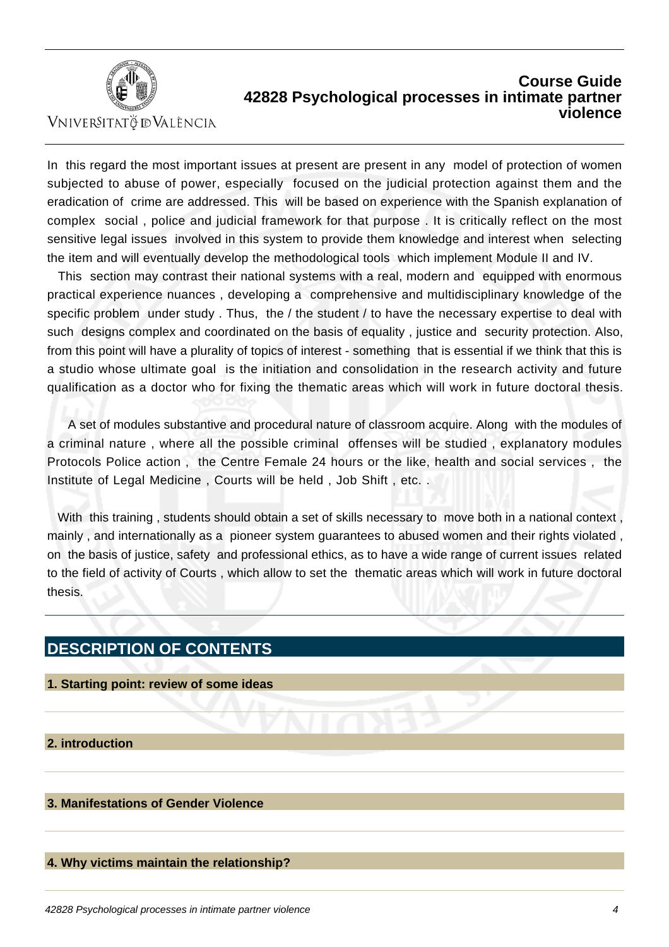

VNIVERSITATÖ ID VALÈNCIA

In this regard the most important issues at present are present in any model of protection of women subjected to abuse of power, especially focused on the judicial protection against them and the eradication of crime are addressed. This will be based on experience with the Spanish explanation of complex social , police and judicial framework for that purpose . It is critically reflect on the most sensitive legal issues involved in this system to provide them knowledge and interest when selecting the item and will eventually develop the methodological tools which implement Module II and IV.

 This section may contrast their national systems with a real, modern and equipped with enormous practical experience nuances , developing a comprehensive and multidisciplinary knowledge of the specific problem under study . Thus, the / the student / to have the necessary expertise to deal with such designs complex and coordinated on the basis of equality , justice and security protection. Also, from this point will have a plurality of topics of interest - something that is essential if we think that this is a studio whose ultimate goal is the initiation and consolidation in the research activity and future qualification as a doctor who for fixing the thematic areas which will work in future doctoral thesis.

 A set of modules substantive and procedural nature of classroom acquire. Along with the modules of a criminal nature , where all the possible criminal offenses will be studied , explanatory modules Protocols Police action , the Centre Female 24 hours or the like, health and social services , the Institute of Legal Medicine , Courts will be held , Job Shift , etc. .

 With this training , students should obtain a set of skills necessary to move both in a national context , mainly , and internationally as a pioneer system guarantees to abused women and their rights violated , on the basis of justice, safety and professional ethics, as to have a wide range of current issues related to the field of activity of Courts , which allow to set the thematic areas which will work in future doctoral thesis.

# **DESCRIPTION OF CONTENTS**

- **1. Starting point: review of some ideas**
- **2. introduction**

## **3. Manifestations of Gender Violence**

### **4. Why victims maintain the relationship?**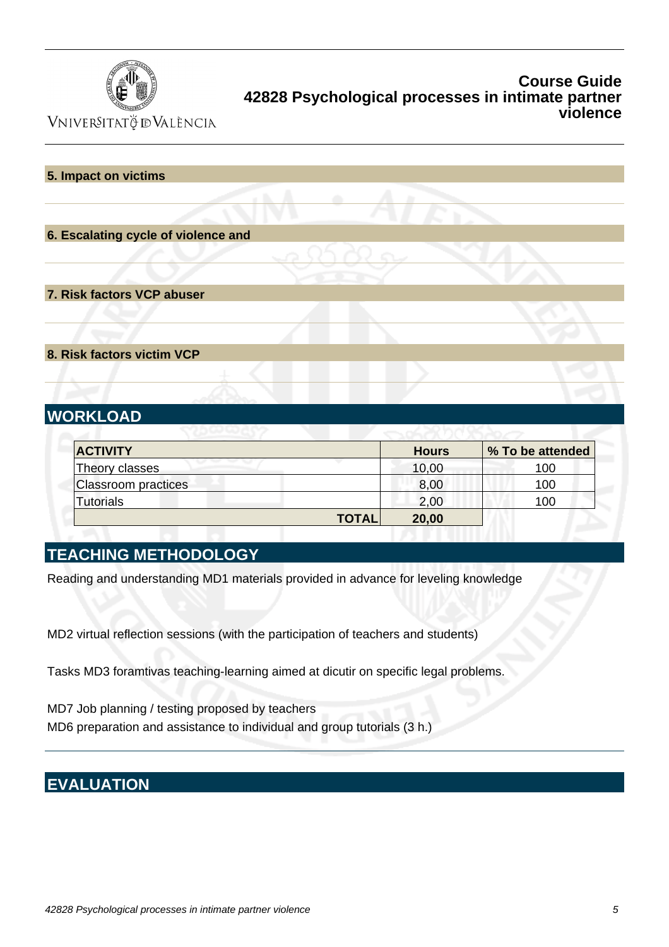

VNIVERSITATÖ ID VALÈNCIA

### **5. Impact on victims**

**6. Escalating cycle of violence and**

**7. Risk factors VCP abuser**

**8. Risk factors victim VCP**

# **WORKLOAD**

| <b>ACTIVITY</b>            | <b>Hours</b>          | % To be attended |
|----------------------------|-----------------------|------------------|
| Theory classes             | 10,00                 | 100              |
| <b>Classroom practices</b> | 8,00                  | 100              |
| <b>Tutorials</b>           | 2,00                  | 100              |
|                            | <b>TOTAL</b><br>20,00 |                  |

# **TEACHING METHODOLOGY**

Reading and understanding MD1 materials provided in advance for leveling knowledge

MD2 virtual reflection sessions (with the participation of teachers and students)

Tasks MD3 foramtivas teaching-learning aimed at dicutir on specific legal problems.

MD7 Job planning / testing proposed by teachers MD6 preparation and assistance to individual and group tutorials (3 h.)

# **EVALUATION**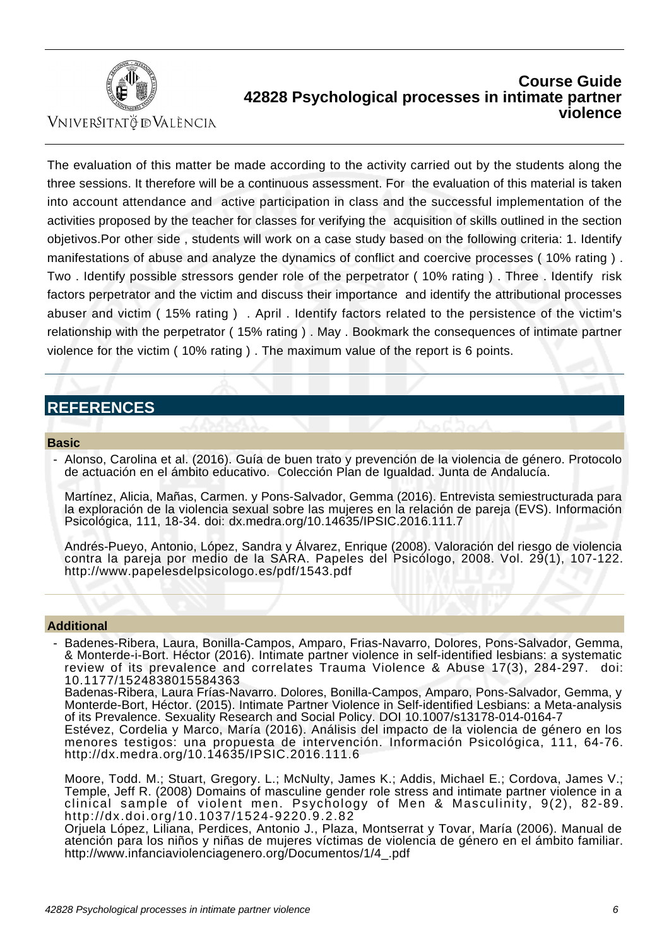

Vniver§itatğ dValència

The evaluation of this matter be made according to the activity carried out by the students along the three sessions. It therefore will be a continuous assessment. For the evaluation of this material is taken into account attendance and active participation in class and the successful implementation of the activities proposed by the teacher for classes for verifying the acquisition of skills outlined in the section objetivos.Por other side , students will work on a case study based on the following criteria: 1. Identify manifestations of abuse and analyze the dynamics of conflict and coercive processes ( 10% rating ) . Two . Identify possible stressors gender role of the perpetrator ( 10% rating ) . Three . Identify risk factors perpetrator and the victim and discuss their importance and identify the attributional processes abuser and victim ( 15% rating ) . April . Identify factors related to the persistence of the victim's relationship with the perpetrator ( 15% rating ) . May . Bookmark the consequences of intimate partner violence for the victim ( 10% rating ) . The maximum value of the report is 6 points.

# **REFERENCES**

#### **Basic**

 - Alonso, Carolina et al. (2016). Guía de buen trato y prevención de la violencia de género. Protocolo de actuación en el ámbito educativo. Colección Plan de Igualdad. Junta de Andalucía.

Martínez, Alicia, Mañas, Carmen. y Pons-Salvador, Gemma (2016). Entrevista semiestructurada para la exploración de la violencia sexual sobre las mujeres en la relación de pareja (EVS). Información Psicológica, 111, 18-34. doi: dx.medra.org/10.14635/IPSIC.2016.111.7

Andrés-Pueyo, Antonio, López, Sandra y Álvarez, Enrique (2008). Valoración del riesgo de violencia contra la pareja por medio de la SARA. Papeles del Psicólogo, 2008. Vol. 29(1), 107-122. http://www.papelesdelpsicologo.es/pdf/1543.pdf

#### **Additional**

 - Badenes-Ribera, Laura, Bonilla-Campos, Amparo, Frias-Navarro, Dolores, Pons-Salvador, Gemma, & Monterde-i-Bort. Héctor (2016). Intimate partner violence in self-identified lesbians: a systematic review of its prevalence and correlates Trauma Violence & Abuse 17(3), 284-297. doi: 10.1177/1524838015584363

Badenas-Ribera, Laura Frías-Navarro. Dolores, Bonilla-Campos, Amparo, Pons-Salvador, Gemma, y Monterde-Bort, Héctor. (2015). Intimate Partner Violence in Self-identified Lesbians: a Meta-analysis of its Prevalence. Sexuality Research and Social Policy. DOI 10.1007/s13178-014-0164-7

Estévez, Cordelia y Marco, María (2016). Análisis del impacto de la violencia de género en los menores testigos: una propuesta de intervención. Información Psicológica, 111, 64-76. http://dx.medra.org/10.14635/IPSIC.2016.111.6

Moore, Todd. M.; Stuart, Gregory. L.; McNulty, James K.; Addis, Michael E.; Cordova, James V.; Temple, Jeff R. (2008) Domains of masculine gender role stress and intimate partner violence in a clinical sample of violent men. Psychology of Men & Masculinity, 9(2), 82-89. http://dx.doi.org/10.1037/1524-9220.9.2.82

Orjuela López, Liliana, Perdices, Antonio J., Plaza, Montserrat y Tovar, María (2006). Manual de atención para los niños y niñas de mujeres víctimas de violencia de género en el ámbito familiar. http://www.infanciaviolenciagenero.org/Documentos/1/4\_.pdf